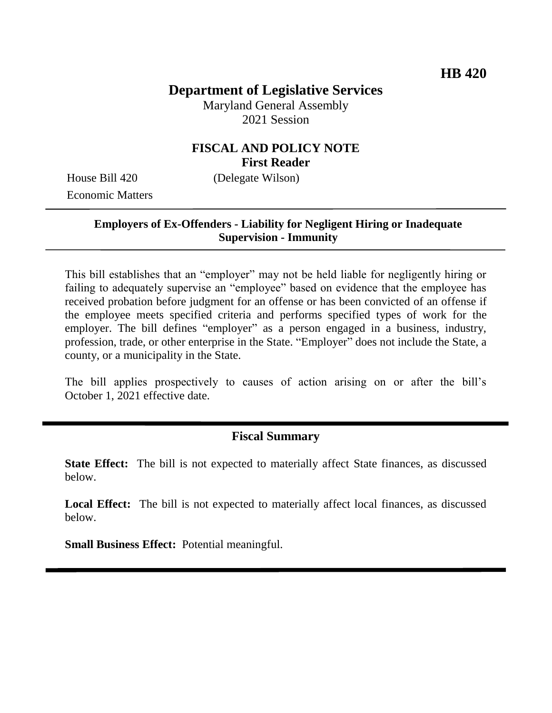# **Department of Legislative Services**

Maryland General Assembly 2021 Session

### **FISCAL AND POLICY NOTE First Reader**

House Bill 420 (Delegate Wilson) Economic Matters

#### **Employers of Ex-Offenders - Liability for Negligent Hiring or Inadequate Supervision - Immunity**

This bill establishes that an "employer" may not be held liable for negligently hiring or failing to adequately supervise an "employee" based on evidence that the employee has received probation before judgment for an offense or has been convicted of an offense if the employee meets specified criteria and performs specified types of work for the employer. The bill defines "employer" as a person engaged in a business, industry, profession, trade, or other enterprise in the State. "Employer" does not include the State, a county, or a municipality in the State.

The bill applies prospectively to causes of action arising on or after the bill's October 1, 2021 effective date.

#### **Fiscal Summary**

**State Effect:** The bill is not expected to materially affect State finances, as discussed below.

**Local Effect:** The bill is not expected to materially affect local finances, as discussed below.

**Small Business Effect:** Potential meaningful.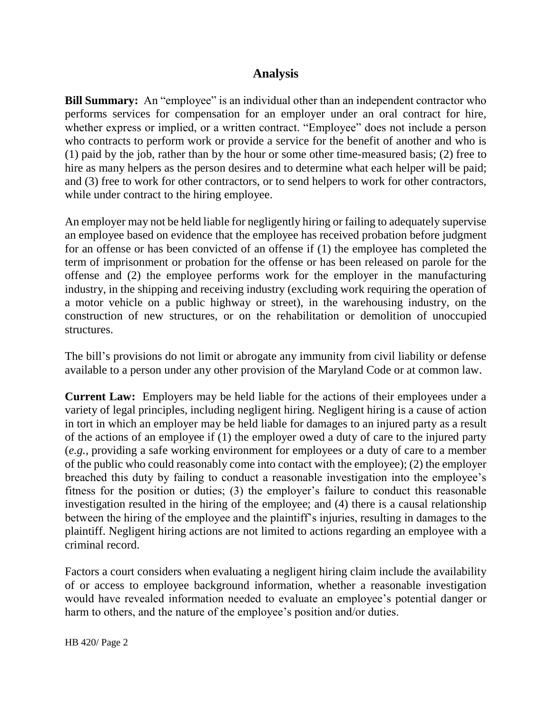## **Analysis**

**Bill Summary:** An "employee" is an individual other than an independent contractor who performs services for compensation for an employer under an oral contract for hire, whether express or implied, or a written contract. "Employee" does not include a person who contracts to perform work or provide a service for the benefit of another and who is (1) paid by the job, rather than by the hour or some other time-measured basis; (2) free to hire as many helpers as the person desires and to determine what each helper will be paid; and (3) free to work for other contractors, or to send helpers to work for other contractors, while under contract to the hiring employee.

An employer may not be held liable for negligently hiring or failing to adequately supervise an employee based on evidence that the employee has received probation before judgment for an offense or has been convicted of an offense if (1) the employee has completed the term of imprisonment or probation for the offense or has been released on parole for the offense and (2) the employee performs work for the employer in the manufacturing industry, in the shipping and receiving industry (excluding work requiring the operation of a motor vehicle on a public highway or street), in the warehousing industry, on the construction of new structures, or on the rehabilitation or demolition of unoccupied structures.

The bill's provisions do not limit or abrogate any immunity from civil liability or defense available to a person under any other provision of the Maryland Code or at common law.

**Current Law:** Employers may be held liable for the actions of their employees under a variety of legal principles, including negligent hiring. Negligent hiring is a cause of action in tort in which an employer may be held liable for damages to an injured party as a result of the actions of an employee if (1) the employer owed a duty of care to the injured party (*e.g.*, providing a safe working environment for employees or a duty of care to a member of the public who could reasonably come into contact with the employee); (2) the employer breached this duty by failing to conduct a reasonable investigation into the employee's fitness for the position or duties; (3) the employer's failure to conduct this reasonable investigation resulted in the hiring of the employee; and (4) there is a causal relationship between the hiring of the employee and the plaintiff's injuries, resulting in damages to the plaintiff. Negligent hiring actions are not limited to actions regarding an employee with a criminal record.

Factors a court considers when evaluating a negligent hiring claim include the availability of or access to employee background information, whether a reasonable investigation would have revealed information needed to evaluate an employee's potential danger or harm to others, and the nature of the employee's position and/or duties.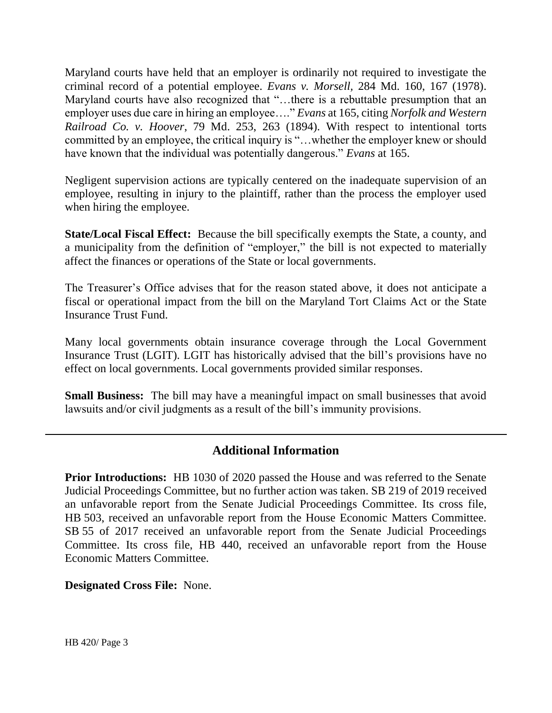Maryland courts have held that an employer is ordinarily not required to investigate the criminal record of a potential employee. *Evans v. Morsell,* 284 Md. 160, 167 (1978). Maryland courts have also recognized that "…there is a rebuttable presumption that an employer uses due care in hiring an employee…." *Evans* at 165, citing *Norfolk and Western Railroad Co. v. Hoover*, 79 Md. 253, 263 (1894). With respect to intentional torts committed by an employee, the critical inquiry is "…whether the employer knew or should have known that the individual was potentially dangerous." *Evans* at 165.

Negligent supervision actions are typically centered on the inadequate supervision of an employee, resulting in injury to the plaintiff, rather than the process the employer used when hiring the employee.

**State/Local Fiscal Effect:** Because the bill specifically exempts the State, a county, and a municipality from the definition of "employer," the bill is not expected to materially affect the finances or operations of the State or local governments.

The Treasurer's Office advises that for the reason stated above, it does not anticipate a fiscal or operational impact from the bill on the Maryland Tort Claims Act or the State Insurance Trust Fund.

Many local governments obtain insurance coverage through the Local Government Insurance Trust (LGIT). LGIT has historically advised that the bill's provisions have no effect on local governments. Local governments provided similar responses.

**Small Business:** The bill may have a meaningful impact on small businesses that avoid lawsuits and/or civil judgments as a result of the bill's immunity provisions.

## **Additional Information**

**Prior Introductions:** HB 1030 of 2020 passed the House and was referred to the Senate Judicial Proceedings Committee, but no further action was taken. SB 219 of 2019 received an unfavorable report from the Senate Judicial Proceedings Committee. Its cross file, HB 503, received an unfavorable report from the House Economic Matters Committee. SB 55 of 2017 received an unfavorable report from the Senate Judicial Proceedings Committee. Its cross file, HB 440, received an unfavorable report from the House Economic Matters Committee.

**Designated Cross File:** None.